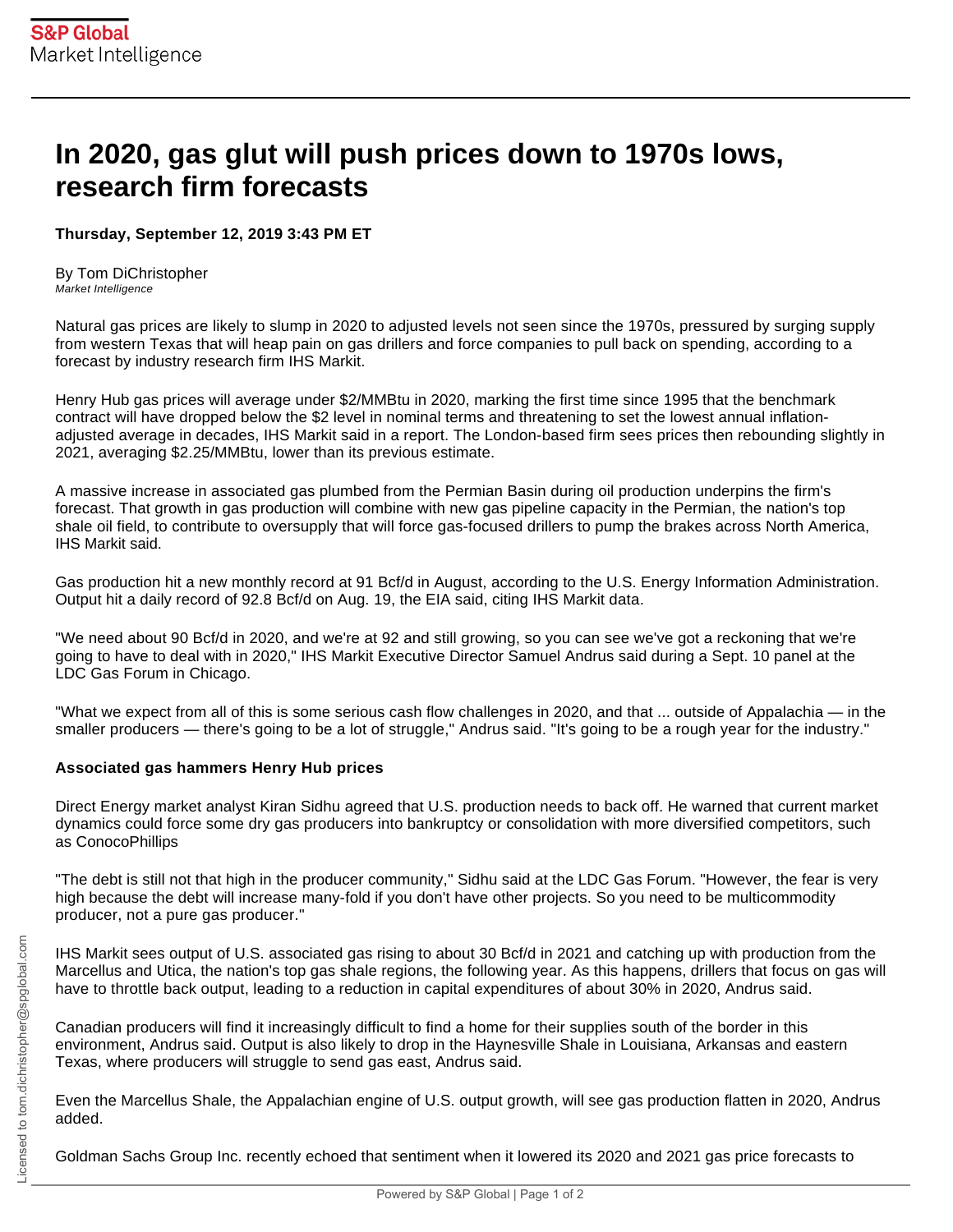## **In 2020, gas glut will push prices down to 1970s lows, research firm forecasts**

## **Thursday, September 12, 2019 3:43 PM ET**

By Tom DiChristopher Market Intelligence

Natural gas prices are likely to slump in 2020 to adjusted levels not seen since the 1970s, pressured by surging supply from western Texas that will heap pain on gas drillers and force companies to pull back on spending, according to a forecast by industry research firm IHS Markit.

Henry Hub gas prices will average under \$2/MMBtu in 2020, marking the first time since 1995 that the benchmark contract will have dropped below the \$2 level in nominal terms and threatening to set the lowest annual inflationadjusted average in decades, IHS Markit said in a report. The London-based firm sees prices then rebounding slightly in 2021, averaging \$2.25/MMBtu, lower than its previous estimate.

A massive increase in associated gas plumbed from the Permian Basin during oil production underpins the firm's forecast. That growth in gas production will combine with new gas pipeline capacity in the Permian, the nation's top shale oil field, to contribute to oversupply that will force gas-focused drillers to pump the brakes across North America, IHS Markit said.

Gas production hit a new monthly record at 91 Bcf/d in August, according to the U.S. Energy Information Administration. Output hit a daily record of 92.8 Bcf/d on Aug. 19, the EIA said, citing IHS Markit data.

"We need about 90 Bcf/d in 2020, and we're at 92 and still growing, so you can see we've got a reckoning that we're going to have to deal with in 2020," IHS Markit Executive Director Samuel Andrus said during a Sept. 10 panel at the LDC Gas Forum in Chicago.

"What we expect from all of this is some serious cash flow challenges in 2020, and that ... outside of Appalachia — in the smaller producers — there's going to be a lot of struggle," Andrus said. "It's going to be a rough year for the industry."

## **Associated gas hammers Henry Hub prices**

Direct Energy market analyst Kiran Sidhu agreed that U.S. production needs to back off. He warned that current market dynamics could force some dry gas producers into bankruptcy or consolidation with more diversified competitors, such as ConocoPhillips

"The debt is still not that high in the producer community," Sidhu said at the LDC Gas Forum. "However, the fear is very high because the debt will increase many-fold if you don't have other projects. So you need to be multicommodity producer, not a pure gas producer."

IHS Markit sees output of U.S. associated gas rising to about 30 Bcf/d in 2021 and catching up with production from the Marcellus and Utica, the nation's top gas shale regions, the following year. As this happens, drillers that focus on gas will have to throttle back output, leading to a reduction in capital expenditures of about 30% in 2020, Andrus said.

Canadian producers will find it increasingly difficult to find a home for their supplies south of the border in this environment, Andrus said. Output is also likely to drop in the Haynesville Shale in Louisiana, Arkansas and eastern Texas, where producers will struggle to send gas east, Andrus said.

Even the Marcellus Shale, the Appalachian engine of U.S. output growth, will see gas production flatten in 2020, Andrus added.

Goldman Sachs Group Inc. recently echoed that sentiment when it lowered its 2020 and 2021 gas price forecasts to